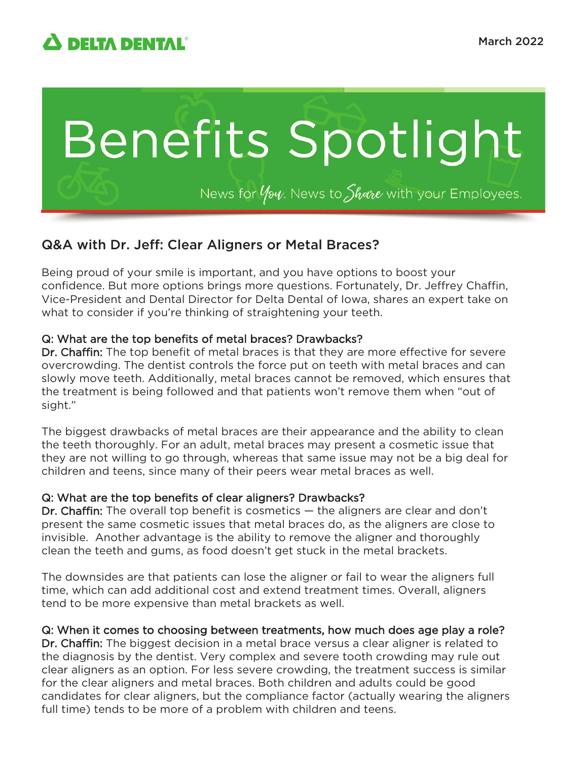

# Benefits Spotlight

News for  $\psi$  Mews to Share with your Employees.

## Q&A with Dr. Jeff: Clear Aligners or Metal Braces?

Being proud of your smile is important, and you have options to boost your confidence. But more options brings more questions. Fortunately, Dr. Jeffrey Chaffin, Vice-President and Dental Director for Delta Dental of Iowa, shares an expert take on what to consider if you're thinking of straightening your teeth.

#### Q: What are the top benefits of metal braces? Drawbacks?

Dr. Chaffin: The top benefit of metal braces is that they are more effective for severe overcrowding. The dentist controls the force put on teeth with metal braces and can slowly move teeth. Additionally, metal braces cannot be removed, which ensures that the treatment is being followed and that patients won't remove them when "out of sight."

The biggest drawbacks of metal braces are their appearance and the ability to clean the teeth thoroughly. For an adult, metal braces may present a cosmetic issue that they are not willing to go through, whereas that same issue may not be a big deal for children and teens, since many of their peers wear metal braces as well.

#### Q: What are the top benefits of clear aligners? Drawbacks?

Dr. Chaffin: The overall top benefit is cosmetics — the aligners are clear and don't present the same cosmetic issues that metal braces do, as the aligners are close to invisible. Another advantage is the ability to remove the aligner and thoroughly clean the teeth and gums, as food doesn't get stuck in the metal brackets.

The downsides are that patients can lose the aligner or fail to wear the aligners full time, which can add additional cost and extend treatment times. Overall, aligners tend to be more expensive than metal brackets as well.

#### Q: When it comes to choosing between treatments, how much does age play a role?

Dr. Chaffin: The biggest decision in a metal brace versus a clear aligner is related to the diagnosis by the dentist. Very complex and severe tooth crowding may rule out clear aligners as an option. For less severe crowding, the treatment success is similar for the clear aligners and metal braces. Both children and adults could be good candidates for clear aligners, but the compliance factor (actually wearing the aligners full time) tends to be more of a problem with children and teens.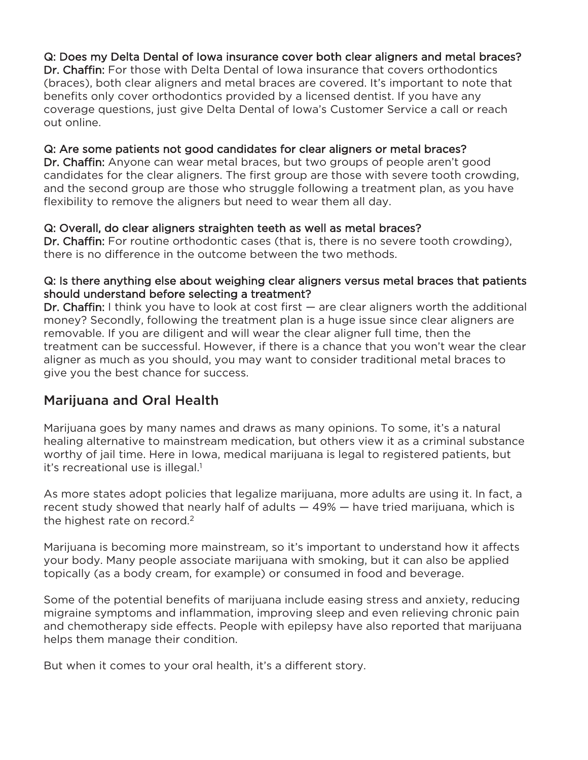### Q: Does my Delta Dental of Iowa insurance cover both clear aligners and metal braces?

Dr. Chaffin: For those with Delta Dental of Iowa insurance that covers orthodontics (braces), both clear aligners and metal braces are covered. It's important to note that benefits only cover orthodontics provided by a licensed dentist. If you have any coverage questions, just give Delta Dental of Iowa's Customer Service a call or reach out online.

#### Q: Are some patients not good candidates for clear aligners or metal braces?

Dr. Chaffin: Anyone can wear metal braces, but two groups of people aren't good candidates for the clear aligners. The first group are those with severe tooth crowding, and the second group are those who struggle following a treatment plan, as you have flexibility to remove the aligners but need to wear them all day.

#### Q: Overall, do clear aligners straighten teeth as well as metal braces?

Dr. Chaffin: For routine orthodontic cases (that is, there is no severe tooth crowding), there is no difference in the outcome between the two methods.

#### Q: Is there anything else about weighing clear aligners versus metal braces that patients should understand before selecting a treatment?

Dr. Chaffin: I think you have to look at cost first — are clear aligners worth the additional money? Secondly, following the treatment plan is a huge issue since clear aligners are removable. If you are diligent and will wear the clear aligner full time, then the treatment can be successful. However, if there is a chance that you won't wear the clear aligner as much as you should, you may want to consider traditional metal braces to give you the best chance for success.

# Marijuana and Oral Health

Marijuana goes by many names and draws as many opinions. To some, it's a natural healing alternative to mainstream medication, but others view it as a criminal substance worthy of jail time. Here in Iowa, medical marijuana is legal to registered patients, but it's recreational use is illegal.<sup>1</sup>

As more states adopt policies that legalize marijuana, more adults are using it. In fact, a recent study showed that nearly half of adults — 49% — have tried marijuana, which is the highest rate on record.<sup>2</sup>

Marijuana is becoming more mainstream, so it's important to understand how it affects your body. Many people associate marijuana with smoking, but it can also be applied topically (as a body cream, for example) or consumed in food and beverage.

Some of the potential benefits of marijuana include easing stress and anxiety, reducing migraine symptoms and inflammation, improving sleep and even relieving chronic pain and chemotherapy side effects. People with epilepsy have also reported that marijuana helps them manage their condition.

But when it comes to your oral health, it's a different story.